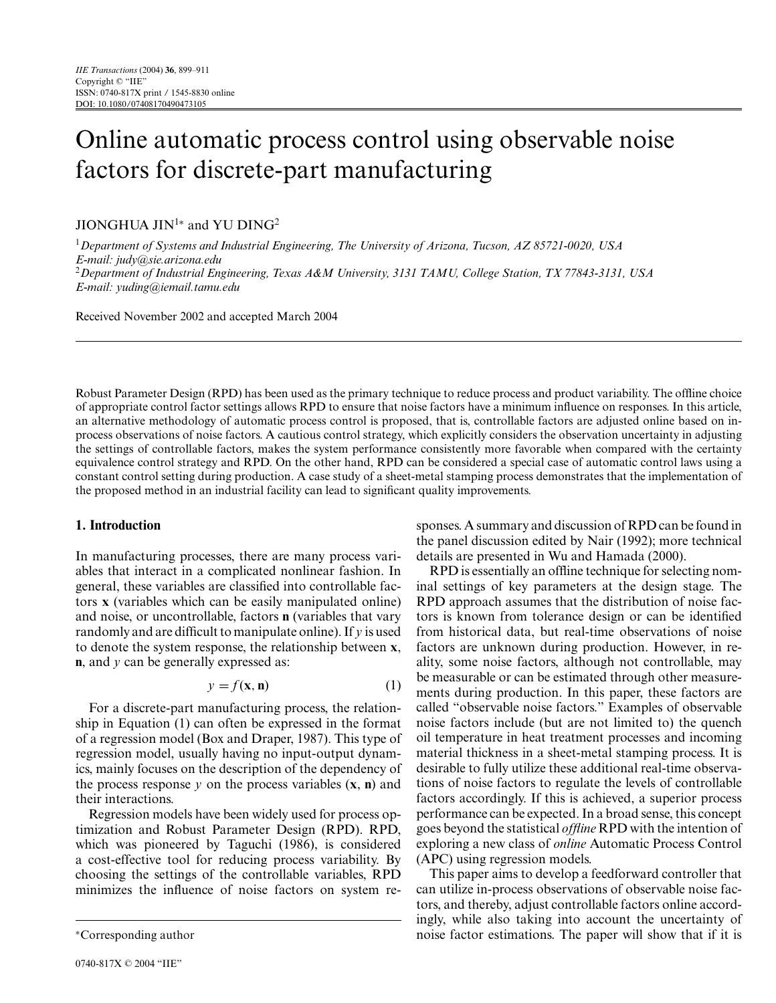# Online automatic process control using observable noise factors for discrete-part manufacturing

## JIONGHUA JIN<sup>1</sup>\* and YU DING<sup>2</sup>

<sup>1</sup>*Department of Systems and Industrial Engineering, The University of Arizona, Tucson, AZ 85721-0020, USA E-mail: judy@sie.arizona.edu* <sup>2</sup>*Department of Industrial Engineering, Texas A&M University, 3131 TAMU, College Station, TX 77843-3131, USA E-mail: yuding@iemail.tamu.edu*

Received November 2002 and accepted March 2004

Robust Parameter Design (RPD) has been used as the primarytechnique to reduce process and product variability. The offline choice of appropriate control factor settings allows RPD to ensure that noise factors have a minimum influence on responses. In this article, an alternative methodology of automatic process control is proposed, that is, controllable factors are adjusted online based on inprocess observations of noise factors. A cautious control strategy, which explicitlyconsiders the observation uncertaintyin adjusting the settings of controllable factors, makes the system performance consistently more favorable when compared with the certainty equivalence control strategyand RPD. On the other hand, RPD can be considered a special case of automatic control laws using a constant control setting during production. A case studyof a sheet-metal stamping process demonstrates that the implementation of the proposed method in an industrial facility can lead to significant quality improvements.

## **1. Introduction**

In manufacturing processes, there are many process variables that interact in a complicated nonlinear fashion. In general, these variables are classified into controllable factors **x** (variables which can be easilymanipulated online) and noise, or uncontrollable, factors **n** (variables that vary randomlyand are difficult to manipulate online). If *y* is used to denote the system response, the relationship between **x**, **n**, and *y* can be generally expressed as:

$$
y = f(\mathbf{x}, \mathbf{n})\tag{1}
$$

For a discrete-part manufacturing process, the relationship in Equation (1) can often be expressed in the format of a regression model (Box and Draper, 1987). This type of regression model, usually having no input-output dynamics, mainly focuses on the description of the dependency of the process response  $y$  on the process variables  $(x, n)$  and their interactions.

Regression models have been widelyused for process optimization and Robust Parameter Design (RPD). RPD, which was pioneered by Taguchi (1986), is considered a cost-effective tool for reducing process variability. By choosing the settings of the controllable variables, RPD minimizes the influence of noise factors on system responses. A summaryand discussion of RPD can be found in the panel discussion edited by Nair (1992); more technical details are presented in Wu and Hamada (2000).

RPD is essentiallyan offline technique for selecting nominal settings of key parameters at the design stage. The RPD approach assumes that the distribution of noise factors is known from tolerance design or can be identified from historical data, but real-time observations of noise factors are unknown during production. However, in reality, some noise factors, although not controllable, may be measurable or can be estimated through other measurements during production. In this paper, these factors are called "observable noise factors." Examples of observable noise factors include (but are not limited to) the quench oil temperature in heat treatment processes and incoming material thickness in a sheet-metal stamping process. It is desirable to fully utilize these additional real-time observations of noise factors to regulate the levels of controllable factors accordingly. If this is achieved, a superior process performance can be expected. In a broad sense, this concept goes beyond the statistical *offline* RPD with the intention of exploring a new class of *online* Automatic Process Control (APC) using regression models.

This paper aims to develop a feedforward controller that can utilize in-process observations of observable noise factors, and thereby, adjust controllable factors online accordingly, while also taking into account the uncertainty of noise factor estimations. The paper will show that if it is

<sup>∗</sup>Corresponding author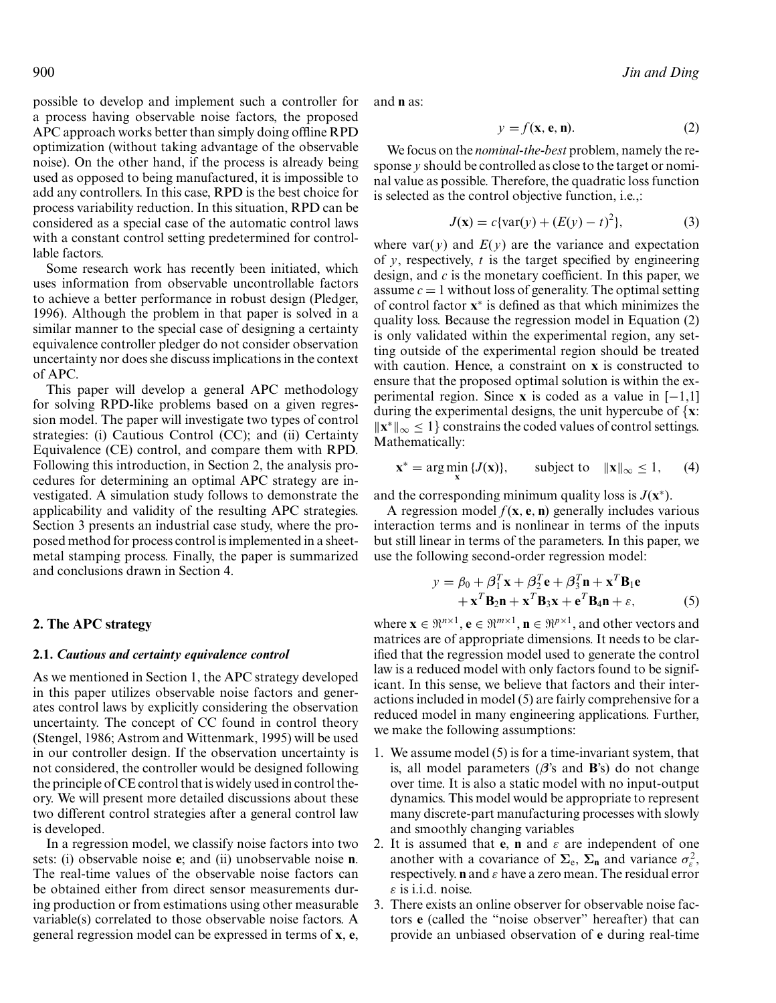possible to develop and implement such a controller for a process having observable noise factors, the proposed APC approach works better than simplydoing offline RPD optimization (without taking advantage of the observable noise). On the other hand, if the process is alreadybeing used as opposed to being manufactured, it is impossible to add anycontrollers. In this case, RPD is the best choice for process variability reduction. In this situation, RPD can be considered as a special case of the automatic control laws with a constant control setting predetermined for controllable factors.

Some research work has recently been initiated, which uses information from observable uncontrollable factors to achieve a better performance in robust design (Pledger, 1996). Although the problem in that paper is solved in a similar manner to the special case of designing a certainty equivalence controller pledger do not consider observation uncertaintynor does she discuss implications in the context of APC.

This paper will develop a general APC methodology for solving RPD-like problems based on a given regression model. The paper will investigate two types of control strategies: (i) Cautious Control (CC); and (ii) Certainty Equivalence (CE) control, and compare them with RPD. Following this introduction, in Section 2, the analysis procedures for determining an optimal APC strategyare investigated. A simulation study follows to demonstrate the applicability and validity of the resulting APC strategies. Section 3 presents an industrial case study, where the proposed method for process control is implemented in a sheetmetal stamping process. Finally, the paper is summarized and conclusions drawn in Section 4.

## **2. The APC strategy**

#### **2.1.** *Cautious and certainty equivalence control*

As we mentioned in Section 1, the APC strategy developed in this paper utilizes observable noise factors and generates control laws by explicitly considering the observation uncertainty. The concept of CC found in control theory (Stengel, 1986; Astrom and Wittenmark, 1995) will be used in our controller design. If the observation uncertainty is not considered, the controller would be designed following the principle of CE control that is widelyused in control theory. We will present more detailed discussions about these two different control strategies after a general control law is developed.

In a regression model, we classify noise factors into two sets: (i) observable noise **e**; and (ii) unobservable noise **n**. The real-time values of the observable noise factors can be obtained either from direct sensor measurements during production or from estimations using other measurable variable(s) correlated to those observable noise factors. A general regression model can be expressed in terms of **x**, **e**,

and **n** as:

$$
y = f(\mathbf{x}, \mathbf{e}, \mathbf{n}).\tag{2}
$$

We focus on the *nominal-the-best* problem, namely the response *y* should be controlled as close to the target or nominal value as possible. Therefore, the quadratic loss function is selected as the control objective function, i.e.,:

$$
J(\mathbf{x}) = c\{\text{var}(y) + (E(y) - t)^2\},\tag{3}
$$

where var( $y$ ) and  $E(y)$  are the variance and expectation of  $v$ , respectively,  $t$  is the target specified by engineering design, and *c* is the monetary coefficient. In this paper, we assume  $c = 1$  without loss of generality. The optimal setting of control factor **x**<sup>∗</sup> is defined as that which minimizes the qualityloss. Because the regression model in Equation (2) is only validated within the experimental region, any setting outside of the experimental region should be treated with caution. Hence, a constraint on **x** is constructed to ensure that the proposed optimal solution is within the experimental region. Since **x** is coded as a value in  $[-1,1]$ during the experimental designs, the unit hypercube of {**x**:  $\|\mathbf{x}^*\|_{\infty} \leq 1$  constrains the coded values of control settings. Mathematically:

$$
\mathbf{x}^* = \arg\min_{\mathbf{x}} \{J(\mathbf{x})\}, \qquad \text{subject to} \quad \|\mathbf{x}\|_{\infty} \le 1, \qquad (4)
$$

and the corresponding minimum quality loss is  $J(\mathbf{x}^*)$ .

A regression model  $f(\mathbf{x}, \mathbf{e}, \mathbf{n})$  generally includes various interaction terms and is nonlinear in terms of the inputs but still linear in terms of the parameters. In this paper, we use the following second-order regression model:

$$
y = \beta_0 + \beta_1^T \mathbf{x} + \beta_2^T \mathbf{e} + \beta_3^T \mathbf{n} + \mathbf{x}^T \mathbf{B}_1 \mathbf{e}
$$
  
+ 
$$
\mathbf{x}^T \mathbf{B}_2 \mathbf{n} + \mathbf{x}^T \mathbf{B}_3 \mathbf{x} + \mathbf{e}^T \mathbf{B}_4 \mathbf{n} + \varepsilon,
$$
 (5)

where  $\mathbf{x} \in \mathbb{R}^{n \times 1}$ ,  $\mathbf{e} \in \mathbb{R}^{m \times 1}$ ,  $\mathbf{n} \in \mathbb{R}^{p \times 1}$ , and other vectors and matrices are of appropriate dimensions. It needs to be clarified that the regression model used to generate the control law is a reduced model with only factors found to be significant. In this sense, we believe that factors and their interactions included in model (5) are fairlycomprehensive for a reduced model in manyengineering applications. Further, we make the following assumptions:

- 1. We assume model (5) is for a time-invariant system, that is, all model parameters (*β*'s and **B**'s) do not change over time. It is also a static model with no input-output dynamics. This model would be appropriate to represent manydiscrete-part manufacturing processes with slowly and smoothly changing variables
- 2. It is assumed that **e**, **n** and  $\varepsilon$  are independent of one another with a covariance of  $\Sigma_e$ ,  $\Sigma_n$  and variance  $\sigma_\varepsilon^2$ , respectively. **n** and ε have a zero mean. The residual error  $\varepsilon$  is i.i.d. noise.
- 3. There exists an online observer for observable noise factors **e** (called the "noise observer" hereafter) that can provide an unbiased observation of **e** during real-time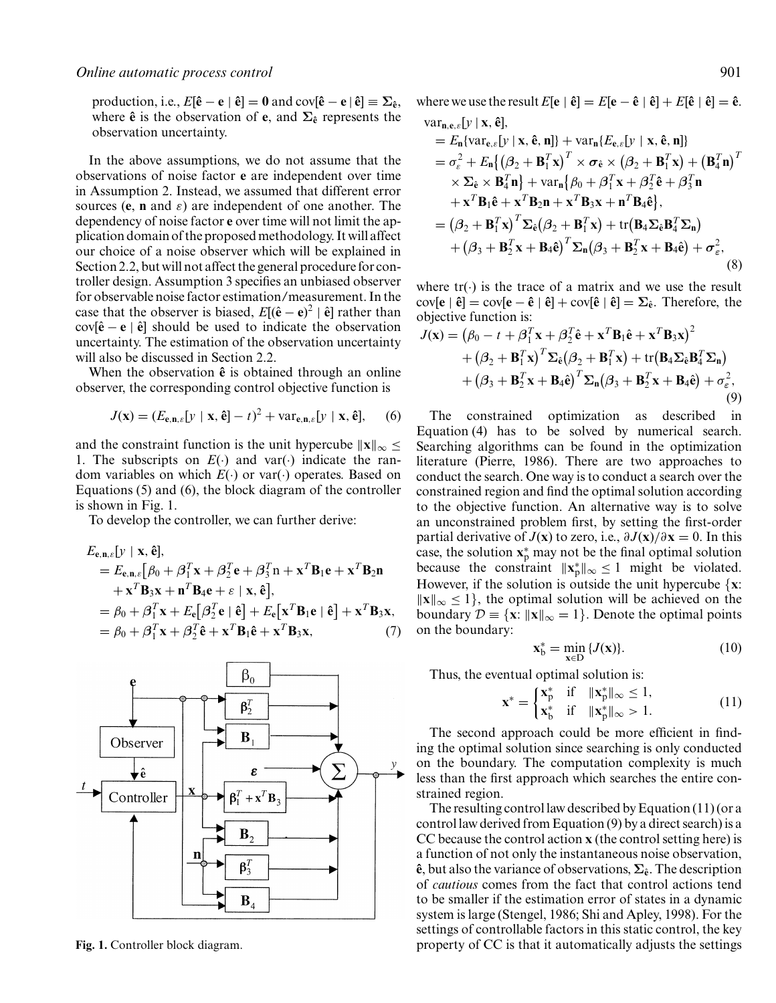production, i.e.,  $E[\hat{\mathbf{e}} - \mathbf{e} \mid \hat{\mathbf{e}}] = \mathbf{0}$  and  $cov[\hat{\mathbf{e}} - \mathbf{e} \mid \hat{\mathbf{e}}] \equiv \Sigma_{\hat{\mathbf{e}}}$ , where  $\hat{\mathbf{e}}$  is the observation of  $\mathbf{e}$ , and  $\Sigma_{\hat{\mathbf{e}}}$  represents the observation uncertainty.

In the above assumptions, we do not assume that the observations of noise factor **e** are independent over time in Assumption 2. Instead, we assumed that different error sources (**e**, **n** and  $\varepsilon$ ) are independent of one another. The dependencyof noise factor **e** over time will not limit the application domain of the proposed methodology. It will affect our choice of a noise observer which will be explained in Section 2.2, but will not affect the general procedure for controller design. Assumption 3 specifies an unbiased observer for observable noise factor estimation/measurement. In the case that the observer is biased,  $E[(\hat{\mathbf{e}} - \mathbf{e})^2 | \hat{\mathbf{e}}]$  rather than cov[ $\hat{\mathbf{e}} - \mathbf{e}$  |  $\hat{\mathbf{e}}$ ] should be used to indicate the observation uncertainty. The estimation of the observation uncertainty will also be discussed in Section 2.2.

When the observation  $\hat{\mathbf{e}}$  is obtained through an online observer, the corresponding control objective function is

$$
J(\mathbf{x}) = (E_{\mathbf{e}, \mathbf{n}, \varepsilon} [y \mid \mathbf{x}, \hat{\mathbf{e}}] - t)^2 + \text{var}_{\mathbf{e}, \mathbf{n}, \varepsilon} [y \mid \mathbf{x}, \hat{\mathbf{e}}], \quad (6)
$$

and the constraint function is the unit hypercube  $\|\mathbf{x}\|_{\infty} \leq$ 1. The subscripts on  $E(\cdot)$  and var( $\cdot$ ) indicate the random variables on which *E*(·) or var(·) operates. Based on Equations (5) and (6), the block diagram of the controller is shown in Fig. 1.

To develop the controller, we can further derive:

$$
E_{\mathbf{e},\mathbf{n},\varepsilon}[y \mid \mathbf{x}, \hat{\mathbf{e}}],
$$
  
=  $E_{\mathbf{e},\mathbf{n},\varepsilon}[\beta_0 + \beta_1^T \mathbf{x} + \beta_2^T \mathbf{e} + \beta_3^T \mathbf{n} + \mathbf{x}^T \mathbf{B}_1 \mathbf{e} + \mathbf{x}^T \mathbf{B}_2 \mathbf{n}$   
+  $\mathbf{x}^T \mathbf{B}_3 \mathbf{x} + \mathbf{n}^T \mathbf{B}_4 \mathbf{e} + \varepsilon \mid \mathbf{x}, \hat{\mathbf{e}}],$   
=  $\beta_0 + \beta_1^T \mathbf{x} + E_{\mathbf{e}}[\beta_2^T \mathbf{e} \mid \hat{\mathbf{e}}] + E_{\mathbf{e}}[\mathbf{x}^T \mathbf{B}_1 \mathbf{e} \mid \hat{\mathbf{e}}] + \mathbf{x}^T \mathbf{B}_3 \mathbf{x},$   
=  $\beta_0 + \beta_1^T \mathbf{x} + \beta_2^T \hat{\mathbf{e}} + \mathbf{x}^T \mathbf{B}_1 \hat{\mathbf{e}} + \mathbf{x}^T \mathbf{B}_3 \mathbf{x},$  (7)



**Fig. 1.** Controller block diagram.

where we use the result  $E[\mathbf{e} | \hat{\mathbf{e}}] = E[\mathbf{e} - \hat{\mathbf{e}} | \hat{\mathbf{e}}] + E[\hat{\mathbf{e}} | \hat{\mathbf{e}}] = \hat{\mathbf{e}}$ . var**<sup>n</sup>**,**e**,ε[*y* | **x**, **eˆ**],

$$
= E_{\mathbf{n}}\{\text{var}_{e,\varepsilon}[y \mid \mathbf{x}, \hat{\mathbf{e}}, \mathbf{n}]\} + \text{var}_{\mathbf{n}}\{E_{e,\varepsilon}[y \mid \mathbf{x}, \hat{\mathbf{e}}, \mathbf{n}]\}
$$
  
\n
$$
= \sigma_{\varepsilon}^2 + E_{\mathbf{n}}\{(\beta_2 + \mathbf{B}_1^T \mathbf{x})^T \times \sigma_{\hat{\mathbf{e}}} \times (\beta_2 + \mathbf{B}_1^T \mathbf{x}) + (\mathbf{B}_4^T \mathbf{n})^T
$$
  
\n
$$
\times \Sigma_{\hat{\mathbf{e}}} \times \mathbf{B}_4^T \mathbf{n}\} + \text{var}_{\mathbf{n}}\{\beta_0 + \beta_1^T \mathbf{x} + \beta_2^T \hat{\mathbf{e}} + \beta_3^T \mathbf{n}
$$
  
\n
$$
+ \mathbf{x}^T \mathbf{B}_1 \hat{\mathbf{e}} + \mathbf{x}^T \mathbf{B}_2 \mathbf{n} + \mathbf{x}^T \mathbf{B}_3 \mathbf{x} + \mathbf{n}^T \mathbf{B}_4 \hat{\mathbf{e}}\},
$$
  
\n
$$
= (\beta_2 + \mathbf{B}_1^T \mathbf{x})^T \Sigma_{\hat{\mathbf{e}}} (\beta_2 + \mathbf{B}_1^T \mathbf{x}) + \text{tr}(\mathbf{B}_4 \Sigma_{\hat{\mathbf{e}}} \mathbf{B}_4^T \Sigma_{\mathbf{n}})
$$
  
\n
$$
+ (\beta_3 + \mathbf{B}_2^T \mathbf{x} + \mathbf{B}_4 \hat{\mathbf{e}})^T \Sigma_{\mathbf{n}} (\beta_3 + \mathbf{B}_2^T \mathbf{x} + \mathbf{B}_4 \hat{\mathbf{e}}) + \sigma_{\varepsilon}^2,
$$
  
\n(8)

where  $tr(\cdot)$  is the trace of a matrix and we use the result  $cov[e | \hat{e}] = cov[e - \hat{e} | \hat{e}] + cov[\hat{e} | \hat{e}] = \sum_{\hat{e}}$ . Therefore, the objective function is:

$$
J(\mathbf{x}) = (\beta_0 - t + \beta_1^T \mathbf{x} + \beta_2^T \hat{\mathbf{e}} + \mathbf{x}^T \mathbf{B}_1 \hat{\mathbf{e}} + \mathbf{x}^T \mathbf{B}_3 \mathbf{x})^2 + (\beta_2 + \mathbf{B}_1^T \mathbf{x})^T \Sigma_{\hat{\mathbf{e}}} (\beta_2 + \mathbf{B}_1^T \mathbf{x}) + \text{tr} (\mathbf{B}_4 \Sigma_{\hat{\mathbf{e}}} \mathbf{B}_4^T \Sigma_{\mathbf{n}}) + (\beta_3 + \mathbf{B}_2^T \mathbf{x} + \mathbf{B}_4 \hat{\mathbf{e}})^T \Sigma_{\mathbf{n}} (\beta_3 + \mathbf{B}_2^T \mathbf{x} + \mathbf{B}_4 \hat{\mathbf{e}}) + \sigma_{\varepsilon}^2,
$$
\n(9)

The constrained optimization as described in Equation  $(4)$  has to be solved by numerical search. Searching algorithms can be found in the optimization literature (Pierre, 1986). There are two approaches to conduct the search. One way is to conduct a search over the constrained region and find the optimal solution according to the objective function. An alternative way is to solve an unconstrained problem first, by setting the first-order partial derivative of *J*(**x**) to zero, i.e.,  $\partial J(\mathbf{x})/\partial \mathbf{x} = 0$ . In this case, the solution  $\mathbf{x}_p^*$  may not be the final optimal solution because the constraint  $||\mathbf{x}_p^*||_{\infty} \le 1$  might be violated. However, if the solution is outside the unit hypercube {**x**:  $\|\mathbf{x}\|_{\infty} \leq 1$ , the optimal solution will be achieved on the boundary  $\mathcal{D} \equiv \{ \mathbf{x} : ||\mathbf{x}||_{\infty} = 1 \}$ . Denote the optimal points on the boundary:

$$
\mathbf{x}_{\mathrm{b}}^* = \min_{\mathbf{x} \in \mathrm{D}} \{J(\mathbf{x})\}.\tag{10}
$$

Thus, the eventual optimal solution is:

$$
\mathbf{x}^* = \begin{cases} \mathbf{x}_p^* & \text{if} \quad \|\mathbf{x}_p^*\|_{\infty} \le 1, \\ \mathbf{x}_b^* & \text{if} \quad \|\mathbf{x}_p^*\|_{\infty} > 1. \end{cases} \tag{11}
$$

The second approach could be more efficient in finding the optimal solution since searching is onlyconducted on the boundary. The computation complexity is much less than the first approach which searches the entire constrained region.

The resulting control law described by Equation  $(11)$  (or a control law derived from Equation (9) bya direct search) is a CC because the control action **x** (the control setting here) is a function of not only the instantaneous noise observation,  $\hat{\mathbf{e}}$ , but also the variance of observations,  $\Sigma_{\hat{\mathbf{e}}}$ . The description of *cautious* comes from the fact that control actions tend to be smaller if the estimation error of states in a dynamic system is large (Stengel, 1986; Shi and Apley, 1998). For the settings of controllable factors in this static control, the key property of CC is that it automatically adjusts the settings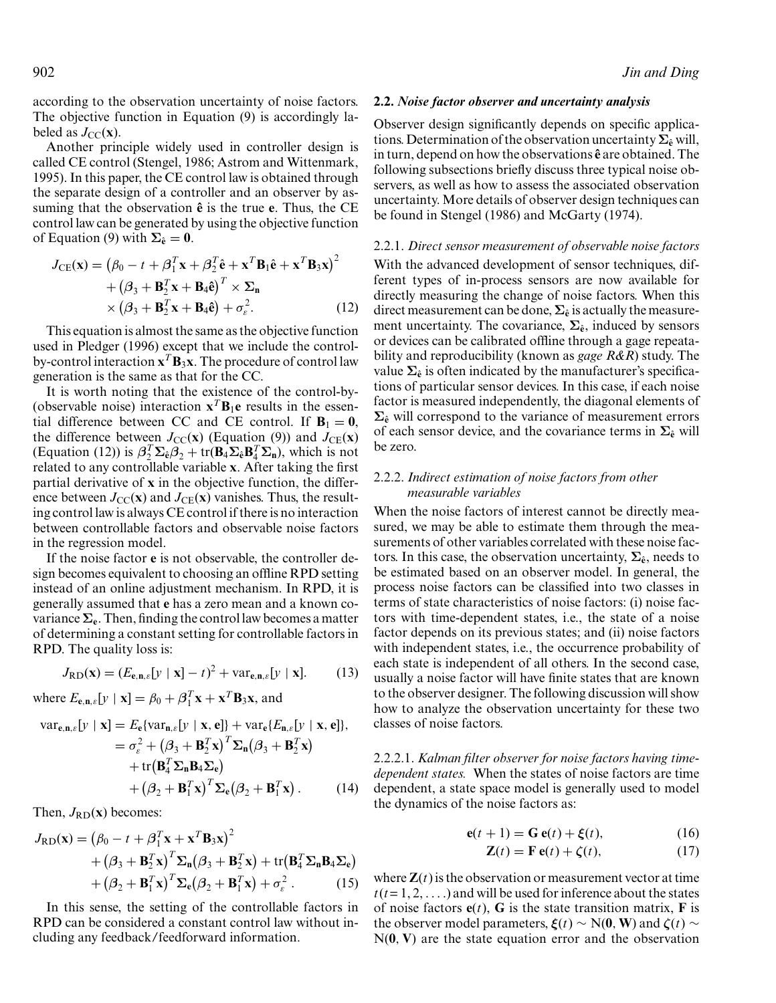according to the observation uncertainty of noise factors. The objective function in Equation (9) is accordingly labeled as  $J_{\text{CC}}(\mathbf{x})$ .

Another principle widely used in controller design is called CE control (Stengel, 1986; Astrom and Wittenmark, 1995). In this paper, the CE control law is obtained through the separate design of a controller and an observer byassuming that the observation  $\hat{e}$  is the true **e**. Thus, the CE control law can be generated byusing the objective function of Equation (9) with  $\Sigma_{\hat{\mathbf{e}}} = \mathbf{0}$ .

$$
J_{CE}(\mathbf{x}) = (\beta_0 - t + \beta_1^T \mathbf{x} + \beta_2^T \hat{\mathbf{e}} + \mathbf{x}^T \mathbf{B}_1 \hat{\mathbf{e}} + \mathbf{x}^T \mathbf{B}_3 \mathbf{x})^2
$$
  
+ (\beta\_3 + \mathbf{B}\_2^T \mathbf{x} + \mathbf{B}\_4 \hat{\mathbf{e}})^T \times \Sigma\_n  
× (\beta\_3 + \mathbf{B}\_2^T \mathbf{x} + \mathbf{B}\_4 \hat{\mathbf{e}}) + \sigma\_{\varepsilon}^2. (12)

This equation is almost the same as the objective function used in Pledger (1996) except that we include the controlby-control interaction  $\mathbf{x}^T \mathbf{B}_3 \mathbf{x}$ . The procedure of control law generation is the same as that for the CC.

It is worth noting that the existence of the control-by- (observable noise) interaction  $\mathbf{x}^T \mathbf{B}_1 \mathbf{e}$  results in the essential difference between CC and CE control. If  $B_1 = 0$ , the difference between  $J_{\text{CC}}(\mathbf{x})$  (Equation (9)) and  $J_{\text{CE}}(\mathbf{x})$  $(Equation (12))$  is  $\beta_2^T \Sigma_{\hat{\mathbf{e}}} \beta_2 + \text{tr}(\mathbf{B}_4 \Sigma_{\hat{\mathbf{e}}} \mathbf{B}_4^T \Sigma_{\mathbf{n}})$ , which is not related to anycontrollable variable **x**. After taking the first partial derivative of **x** in the objective function, the difference between  $J_{\text{CC}}(\mathbf{x})$  and  $J_{\text{CE}}(\mathbf{x})$  vanishes. Thus, the resulting control law is always CE control if there is no interaction between controllable factors and observable noise factors in the regression model.

If the noise factor **e** is not observable, the controller design becomes equivalent to choosing an offline RPD setting instead of an online adjustment mechanism. In RPD, it is generallyassumed that **e** has a zero mean and a known covariance **Σe**. Then, finding the control law becomes a matter of determining a constant setting for controllable factors in RPD. The quality loss is:

$$
J_{\text{RD}}(\mathbf{x}) = (E_{\mathbf{e}, \mathbf{n}, \varepsilon} [y \mid \mathbf{x}] - t)^2 + \text{var}_{\mathbf{e}, \mathbf{n}, \varepsilon} [y \mid \mathbf{x}]. \tag{13}
$$

where  $E_{\mathbf{e}, \mathbf{n}, \varepsilon} [y \mid \mathbf{x}] = \beta_0 + \beta_1^T \mathbf{x} + \mathbf{x}^T \mathbf{B}_3 \mathbf{x}$ , and

$$
\begin{aligned}\n\text{var}_{\mathbf{e},\mathbf{n},\varepsilon}[\mathbf{y} \mid \mathbf{x}] &= E_{\mathbf{e}}\{\text{var}_{\mathbf{n},\varepsilon}[\mathbf{y} \mid \mathbf{x}, \mathbf{e}]\} + \text{var}_{\mathbf{e}}\{E_{\mathbf{n},\varepsilon}[\mathbf{y} \mid \mathbf{x}, \mathbf{e}]\}, \\
&= \sigma_{\varepsilon}^2 + \left(\beta_3 + \mathbf{B}_2^T \mathbf{x}\right)^T \mathbf{\Sigma}_{\mathbf{n}} \left(\beta_3 + \mathbf{B}_2^T \mathbf{x}\right) \\
&+ \text{tr}\left(\mathbf{B}_4^T \mathbf{\Sigma}_{\mathbf{n}} \mathbf{B}_4 \mathbf{\Sigma}_{\mathbf{e}}\right) \\
&+ \left(\beta_2 + \mathbf{B}_1^T \mathbf{x}\right)^T \mathbf{\Sigma}_{\mathbf{e}} \left(\beta_2 + \mathbf{B}_1^T \mathbf{x}\right).\n\end{aligned} \tag{14}
$$

Then,  $J_{\rm RD}({\bf x})$  becomes:

$$
J_{RD}(\mathbf{x}) = (\beta_0 - t + \beta_1^T \mathbf{x} + \mathbf{x}^T \mathbf{B}_3 \mathbf{x})^2
$$
  
+ (\beta\_3 + \mathbf{B}\_2^T \mathbf{x})^T \Sigma\_n (\beta\_3 + \mathbf{B}\_2^T \mathbf{x}) + tr(\mathbf{B}\_4^T \Sigma\_n \mathbf{B}\_4 \Sigma\_e)  
+ (\beta\_2 + \mathbf{B}\_1^T \mathbf{x})^T \Sigma\_e (\beta\_2 + \mathbf{B}\_1^T \mathbf{x}) + \sigma\_{\varepsilon}^2. (15)

In this sense, the setting of the controllable factors in RPD can be considered a constant control law without including any feedback/feedforward information.

#### **2.2.** *Noise factor observer and uncertainty analysis*

Observer design significantly depends on specific applications. Determination of the observation uncertainty  $\Sigma_{\hat{e}}$  will, in turn, depend on how the observations  $\hat{\mathbf{e}}$  are obtained. The following subsections briefly discuss three typical noise observers, as well as how to assess the associated observation uncertainty. More details of observer design techniques can be found in Stengel (1986) and McGarty (1974).

#### 2.2.1. *Direct sensor measurement of observable noise factors*

With the advanced development of sensor techniques, different types of in-process sensors are now available for directlymeasuring the change of noise factors. When this direct measurement can be done,  $\Sigma_{\hat{e}}$  is actually the measurement uncertainty. The covariance,  $\Sigma_{\hat{e}}$ , induced by sensors or devices can be calibrated offline through a gage repeatability and reproducibility (known as *gage R&R*) study. The value  $\Sigma_{\hat{e}}$  is often indicated by the manufacturer's specifications of particular sensor devices. In this case, if each noise factor is measured independently, the diagonal elements of  $\Sigma$ <sup> $\hat{\epsilon}$ </sup> will correspond to the variance of measurement errors of each sensor device, and the covariance terms in **Σe**<sup>ˆ</sup> will be zero.

## 2.2.2. *Indirect estimation of noise factors from other measurable variables*

When the noise factors of interest cannot be directly measured, we may be able to estimate them through the measurements of other variables correlated with these noise factors. In this case, the observation uncertainty,  $\Sigma_{\hat{e}}$ , needs to be estimated based on an observer model. In general, the process noise factors can be classified into two classes in terms of state characteristics of noise factors: (i) noise factors with time-dependent states, i.e., the state of a noise factor depends on its previous states; and (ii) noise factors with independent states, i.e., the occurrence probability of each state is independent of all others. In the second case, usuallya noise factor will have finite states that are known to the observer designer. The following discussion will show how to analyze the observation uncertainty for these two classes of noise factors.

2.2.2.1. *Kalman filter observer for noise factors having timedependent states.* When the states of noise factors are time dependent, a state space model is generally used to model the dynamics of the noise factors as:

$$
\mathbf{e}(t+1) = \mathbf{G}\,\mathbf{e}(t) + \boldsymbol{\xi}(t),\tag{16}
$$

$$
\mathbf{Z}(t) = \mathbf{F} \mathbf{e}(t) + \zeta(t), \qquad (17)
$$

where  $\mathbf{Z}(t)$  is the observation or measurement vector at time  $t(t=1, 2, \ldots)$  and will be used for inference about the states of noise factors  $e(t)$ , G is the state transition matrix, F is the observer model parameters,  $\xi(t) \sim N(0, W)$  and  $\zeta(t) \sim$ N(**0**, **V**) are the state equation error and the observation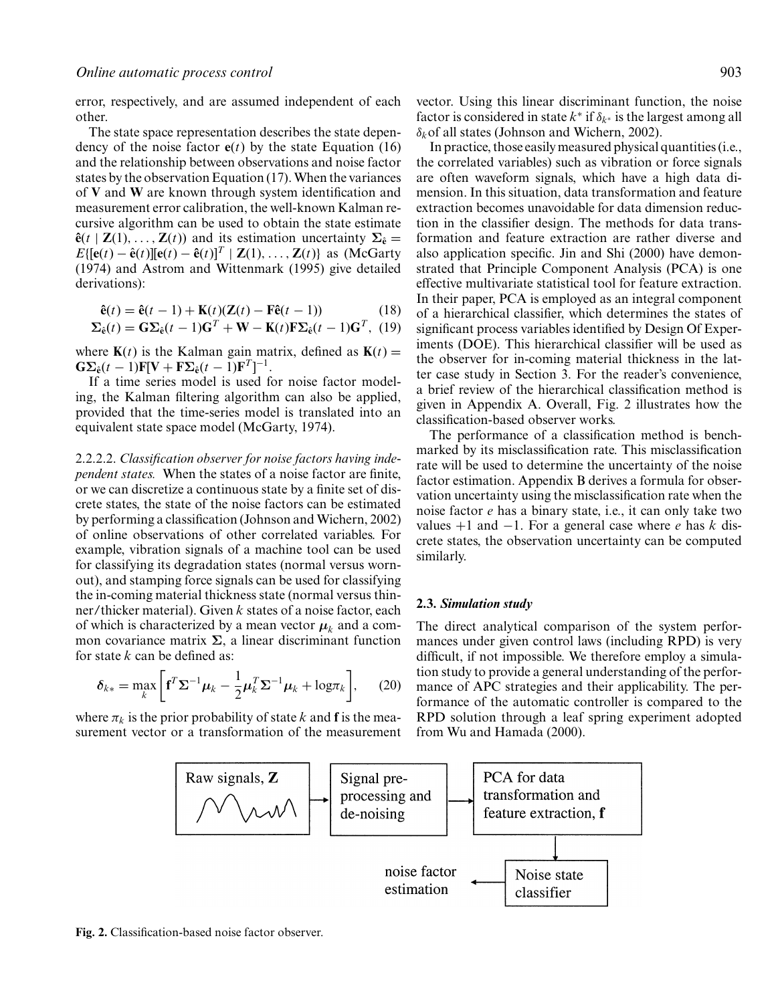error, respectively, and are assumed independent of each other.

The state space representation describes the state dependency of the noise factor  $e(t)$  by the state Equation (16) and the relationship between observations and noise factor states by the observation Equation (17). When the variances of **V** and **W** are known through system identification and measurement error calibration, the well-known Kalman recursive algorithm can be used to obtain the state estimate  $\hat{\bf{e}}(t | {\bf{Z}}(1), \ldots, {\bf{Z}}(t))$  and its estimation uncertainty  $\Sigma_{\hat{\bf{e}}}$  =  $E\{[\mathbf{e}(t) - \hat{\mathbf{e}}(t)][\mathbf{e}(t) - \hat{\mathbf{e}}(t)]^T | \mathbf{Z}(1), \ldots, \mathbf{Z}(t)\}$  as (McGarty (1974) and Astrom and Wittenmark (1995) give detailed derivations):

$$
\hat{\mathbf{e}}(t) = \hat{\mathbf{e}}(t-1) + \mathbf{K}(t)(\mathbf{Z}(t) - \mathbf{F}\hat{\mathbf{e}}(t-1))
$$
\n(18)

$$
\Sigma_{\hat{\mathbf{e}}}(t) = \mathbf{G}\Sigma_{\hat{\mathbf{e}}}(t-1)\mathbf{G}^T + \mathbf{W} - \mathbf{K}(t)\mathbf{F}\Sigma_{\hat{\mathbf{e}}}(t-1)\mathbf{G}^T, (19)
$$

where  **is the Kalman gain matrix, defined as**  $**K**(*t*)$  **=**  $\mathbf{G}\Sigma_{\hat{\mathbf{e}}}(t-1)\mathbf{F}[\mathbf{V}+\mathbf{F}\Sigma_{\hat{\mathbf{e}}}(t-1)\mathbf{F}^T]^{-1}.$ 

If a time series model is used for noise factor modeling, the Kalman filtering algorithm can also be applied, provided that the time-series model is translated into an equivalent state space model (McGarty, 1974).

2.2.2.2. *Classification observer for noise factors having independent states.* When the states of a noise factor are finite, or we can discretize a continuous state bya finite set of discrete states, the state of the noise factors can be estimated byperforming a classification (Johnson and Wichern, 2002) of online observations of other correlated variables. For example, vibration signals of a machine tool can be used for classifying its degradation states (normal versus wornout), and stamping force signals can be used for classifying the in-coming material thickness state (normal versus thinner/thicker material). Given *k* states of a noise factor, each of which is characterized by a mean vector  $\mu_k$  and a common covariance matrix  $Σ$ , a linear discriminant function for state *k* can be defined as:

$$
\delta_{k*} = \max_{k} \left[ \mathbf{f}^T \mathbf{\Sigma}^{-1} \boldsymbol{\mu}_k - \frac{1}{2} \boldsymbol{\mu}_k^T \mathbf{\Sigma}^{-1} \boldsymbol{\mu}_k + \log \pi_k \right], \qquad (20)
$$

where  $\pi_k$  is the prior probability of state *k* and **f** is the measurement vector or a transformation of the measurement vector. Using this linear discriminant function, the noise factor is considered in state  $k^*$  if  $\delta_{k^*}$  is the largest among all δ*k*of all states (Johnson and Wichern, 2002).

In practice, those easilymeasured physical quantities (i.e., the correlated variables) such as vibration or force signals are often waveform signals, which have a high data dimension. In this situation, data transformation and feature extraction becomes unavoidable for data dimension reduction in the classifier design. The methods for data transformation and feature extraction are rather diverse and also application specific. Jin and Shi (2000) have demonstrated that Principle Component Analysis (PCA) is one effective multivariate statistical tool for feature extraction. In their paper, PCA is employed as an integral component of a hierarchical classifier, which determines the states of significant process variables identified by Design Of Experiments (DOE). This hierarchical classifier will be used as the observer for in-coming material thickness in the latter case study in Section 3. For the reader's convenience, a brief review of the hierarchical classification method is given in Appendix A. Overall, Fig. 2 illustrates how the classification-based observer works.

The performance of a classification method is benchmarked by its misclassification rate. This misclassification rate will be used to determine the uncertainty of the noise factor estimation. Appendix B derives a formula for observation uncertainty using the misclassification rate when the noise factor *e* has a binarystate, i.e., it can onlytake two values +1 and −1. For a general case where *e* has *k* discrete states, the observation uncertaintycan be computed similarly.

#### **2.3.** *Simulation study*

The direct analytical comparison of the system performances under given control laws (including RPD) is very difficult, if not impossible. We therefore employ a simulation study to provide a general understanding of the performance of APC strategies and their applicability. The performance of the automatic controller is compared to the RPD solution through a leaf spring experiment adopted from Wu and Hamada (2000).

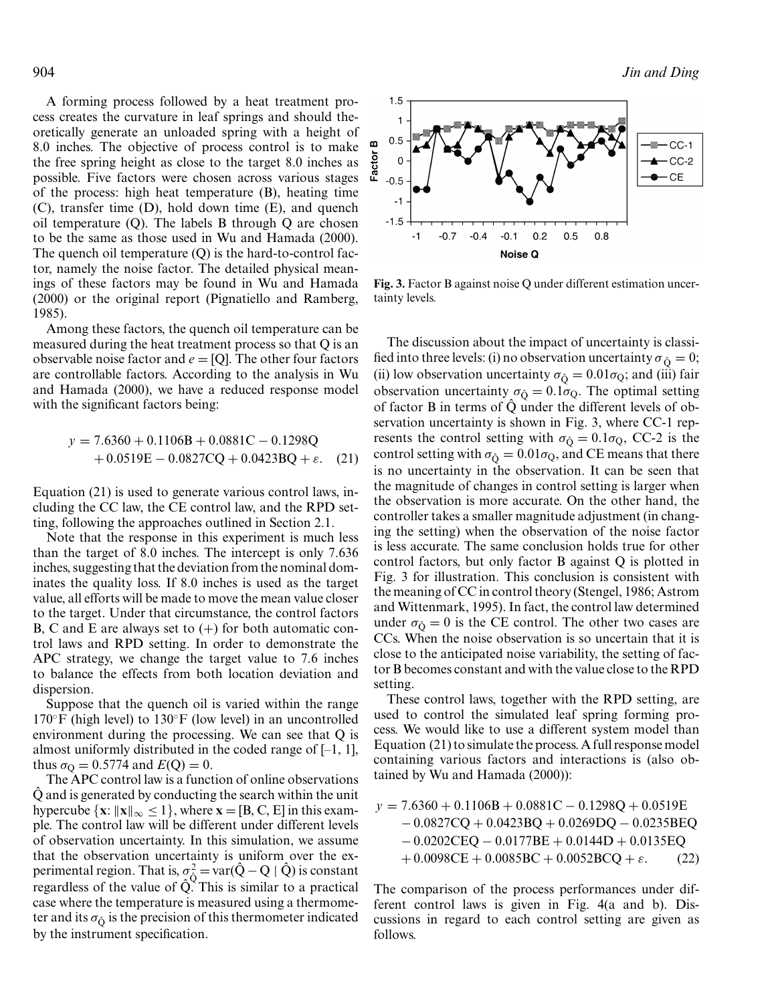A forming process followed bya heat treatment process creates the curvature in leaf springs and should theoretically generate an unloaded spring with a height of 8.0 inches. The objective of process control is to make the free spring height as close to the target 8.0 inches as possible. Five factors were chosen across various stages of the process: high heat temperature (B), heating time (C), transfer time (D), hold down time (E), and quench oil temperature  $(Q)$ . The labels B through  $Q$  are chosen to be the same as those used in Wu and Hamada (2000). The quench oil temperature (Q) is the hard-to-control factor, namely the noise factor. The detailed physical meanings of these factors maybe found in Wu and Hamada (2000) or the original report (Pignatiello and Ramberg, 1985).

Among these factors, the quench oil temperature can be measured during the heat treatment process so that Q is an observable noise factor and  $e = [Q]$ . The other four factors are controllable factors. According to the analysis in Wu and Hamada (2000), we have a reduced response model with the significant factors being:

$$
y = 7.6360 + 0.1106B + 0.0881C - 0.1298Q
$$

$$
+ 0.0519E - 0.0827CQ + 0.0423BQ + \varepsilon. (21)
$$

Equation (21) is used to generate various control laws, including the CC law, the CE control law, and the RPD setting, following the approaches outlined in Section 2.1.

Note that the response in this experiment is much less than the target of 8.0 inches. The intercept is only 7.636 inches, suggesting that the deviation from the nominal dominates the quality loss. If 8.0 inches is used as the target value, all efforts will be made to move the mean value closer to the target. Under that circumstance, the control factors B, C and E are always set to  $(+)$  for both automatic control laws and RPD setting. In order to demonstrate the APC strategy, we change the target value to 7.6 inches to balance the effects from both location deviation and dispersion.

Suppose that the quench oil is varied within the range  $170°$ F (high level) to  $130°$ F (low level) in an uncontrolled environment during the processing. We can see that Q is almost uniformly distributed in the coded range of  $[-1, 1]$ , thus  $\sigma_{Q} = 0.5774$  and  $E(Q) = 0$ .

The APC control law is a function of online observations Q and is generated byconducting the search within the unit ˆ hypercube  $\{x: ||x||_{\infty} \le 1\}$ , where  $x = [B, C, E]$  in this example. The control law will be different under different levels of observation uncertainty. In this simulation, we assume that the observation uncertainty is uniform over the experimental region. That is,  $\sigma_{\hat{Q}}^2 = \text{var}(\hat{Q} - Q \mid \hat{Q})$  is constant regardless of the value of  $\hat{Q}^{\vee}$ . This is similar to a practical case where the temperature is measured using a thermometer and its  $\sigma_{\hat{O}}$  is the precision of this thermometer indicated by the instrument specification.



**Fig. 3.** Factor B against noise Q under different estimation uncertainty levels.

The discussion about the impact of uncertainty is classified into three levels: (i) no observation uncertainty  $\sigma_{\hat{O}} = 0$ ; (ii) low observation uncertainty  $\sigma_{\hat{Q}} = 0.01\sigma_{Q}$ ; and (iii) fair observation uncertainty  $\sigma_{\hat{O}} = 0.1\sigma_{Q}$ . The optimal setting of factor B in terms of  $\hat{Q}$  under the different levels of observation uncertainty is shown in Fig. 3, where CC-1 represents the control setting with  $\sigma_{\hat{O}} = 0.1\sigma_Q$ , CC-2 is the control setting with  $\sigma_{\hat{O}} = 0.01\sigma_Q$ , and CE means that there is no uncertainty in the observation. It can be seen that the magnitude of changes in control setting is larger when the observation is more accurate. On the other hand, the controller takes a smaller magnitude adjustment (in changing the setting) when the observation of the noise factor is less accurate. The same conclusion holds true for other control factors, but only factor  $B$  against  $Q$  is plotted in Fig. 3 for illustration. This conclusion is consistent with the meaning of CC in control theory(Stengel, 1986; Astrom and Wittenmark, 1995). In fact, the control law determined under  $\sigma_{\hat{O}} = 0$  is the CE control. The other two cases are CCs. When the noise observation is so uncertain that it is close to the anticipated noise variability, the setting of factor B becomes constant and with the value close to the RPD setting.

These control laws, together with the RPD setting, are used to control the simulated leaf spring forming process. We would like to use a different system model than Equation (21) to simulate the process. A full response model containing various factors and interactions is (also obtained byWu and Hamada (2000)):

$$
y = 7.6360 + 0.1106B + 0.0881C - 0.1298Q + 0.0519E
$$
  
- 0.0827CQ + 0.0423BQ + 0.0269DQ - 0.0235BEQ  
- 0.0202CEQ - 0.0177BE + 0.0144D + 0.0135EQ  
+ 0.0098CE + 0.0085BC + 0.0052BCQ +  $\varepsilon$ . (22)

The comparison of the process performances under different control laws is given in Fig. 4(a and b). Discussions in regard to each control setting are given as follows.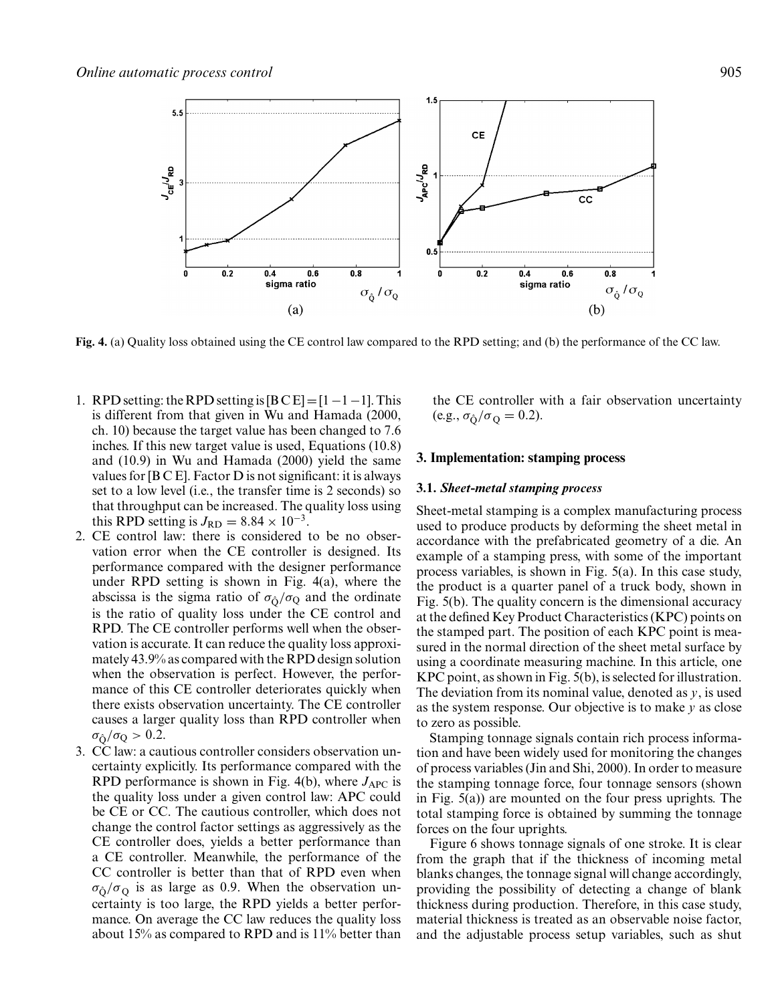

**Fig. 4.** (a) Qualityloss obtained using the CE control law compared to the RPD setting; and (b) the performance of the CC law.

- 1. RPD setting: the RPD setting is  $[BCE]=[1-1-1]$ . This is different from that given in Wu and Hamada (2000, ch. 10) because the target value has been changed to 7.6 inches. If this new target value is used, Equations (10.8) and (10.9) in Wu and Hamada (2000) yield the same values for [B C E]. Factor D is not significant: it is always set to a low level (i.e., the transfer time is 2 seconds) so that throughput can be increased. The qualityloss using this RPD setting is  $J_{RD} = 8.84 \times 10^{-3}$ .
- 2. CE control law: there is considered to be no observation error when the CE controller is designed. Its performance compared with the designer performance under RPD setting is shown in Fig. 4(a), where the abscissa is the sigma ratio of  $\sigma_{\hat{O}}/\sigma_Q$  and the ordinate is the ratio of quality loss under the CE control and RPD. The CE controller performs well when the observation is accurate. It can reduce the qualityloss approximately43.9% as compared with the RPD design solution when the observation is perfect. However, the performance of this CE controller deteriorates quickly when there exists observation uncertainty. The CE controller causes a larger quality loss than RPD controller when  $\sigma_{\hat{O}}/\sigma_{\rm Q} > 0.2$ .
- 3. CC law: a cautious controller considers observation uncertainty explicitly. Its performance compared with the RPD performance is shown in Fig.  $4(b)$ , where  $J_{APC}$  is the qualityloss under a given control law: APC could be CE or CC. The cautious controller, which does not change the control factor settings as aggressivelyas the CE controller does, yields a better performance than a CE controller. Meanwhile, the performance of the CC controller is better than that of RPD even when  $\sigma_{\hat{O}}/\sigma_{\Omega}$  is as large as 0.9. When the observation uncertainty is too large, the RPD yields a better performance. On average the CC law reduces the quality loss about 15% as compared to RPD and is 11% better than

the CE controller with a fair observation uncertainty  $(e.g., \sigma_{\hat{O}}/\sigma_{Q} = 0.2).$ 

## **3. Implementation: stamping process**

#### **3.1.** *Sheet-metal stamping process*

Sheet-metal stamping is a complex manufacturing process used to produce products by deforming the sheet metal in accordance with the prefabricated geometryof a die. An example of a stamping press, with some of the important process variables, is shown in Fig. 5(a). In this case study, the product is a quarter panel of a truck body, shown in Fig.  $5(b)$ . The quality concern is the dimensional accuracy at the defined KeyProduct Characteristics (KPC) points on the stamped part. The position of each KPC point is measured in the normal direction of the sheet metal surface by using a coordinate measuring machine. In this article, one KPC point, as shown in Fig. 5(b), is selected for illustration. The deviation from its nominal value, denoted as *y*, is used as the system response. Our objective is to make *y* as close to zero as possible.

Stamping tonnage signals contain rich process information and have been widely used for monitoring the changes of process variables (Jin and Shi, 2000). In order to measure the stamping tonnage force, four tonnage sensors (shown in Fig. 5(a)) are mounted on the four press uprights. The total stamping force is obtained by summing the tonnage forces on the four uprights.

Figure 6 shows tonnage signals of one stroke. It is clear from the graph that if the thickness of incoming metal blanks changes, the tonnage signal will change accordingly, providing the possibility of detecting a change of blank thickness during production. Therefore, in this case study, material thickness is treated as an observable noise factor, and the adjustable process setup variables, such as shut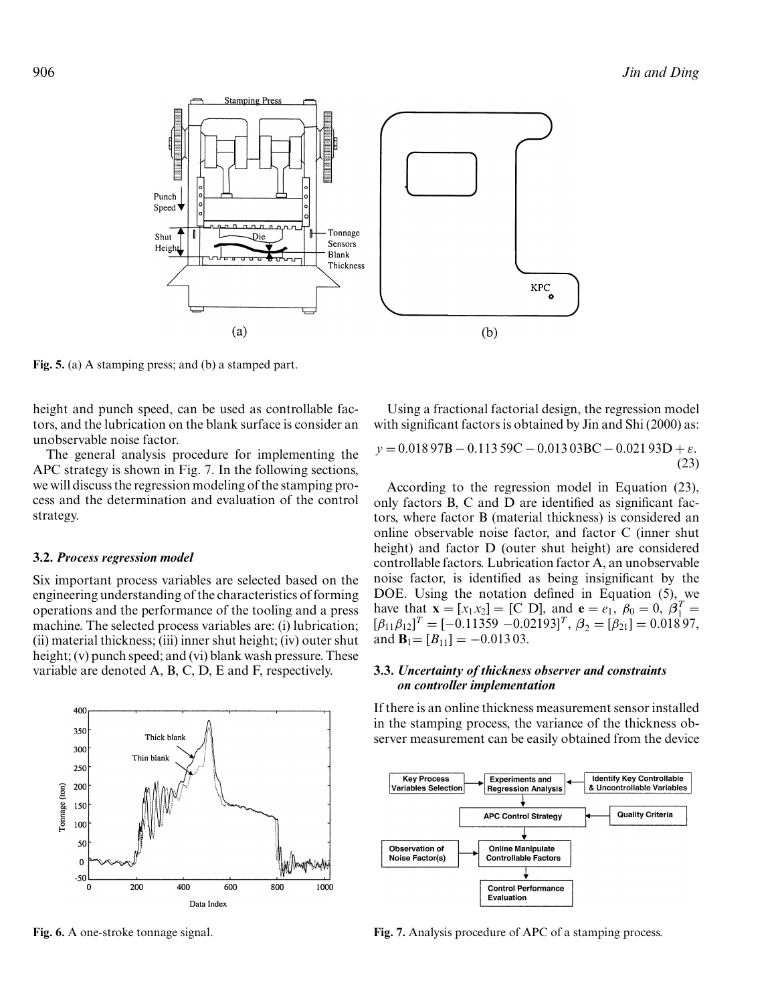

Fig. 5. (a) A stamping press; and (b) a stamped part.

height and punch speed, can be used as controllable factors, and the lubrication on the blank surface is consider an unobservable noise factor.

The general analysis procedure for implementing the APC strategy is shown in Fig. 7. In the following sections, we will discuss the regression modeling of the stamping process and the determination and evaluation of the control strategy.

#### **3.2.** *Process regression model*

Six important process variables are selected based on the engineering understanding of the characteristics of forming operations and the performance of the tooling and a press machine. The selected process variables are: (i) lubrication; (ii) material thickness; (iii) inner shut height; (iv) outer shut height; (v) punch speed; and (vi) blank wash pressure. These variable are denoted A, B, C, D, E and F, respectively.

Using a fractional factorial design, the regression model with significant factors is obtained by Jin and Shi (2000) as:

$$
y = 0.01897B - 0.11359C - 0.01303BC - 0.02193D + \varepsilon.
$$
\n(23)

According to the regression model in Equation (23), only factors B, C and D are identified as significant factors, where factor B (material thickness) is considered an online observable noise factor, and factor C (inner shut height) and factor D (outer shut height) are considered controllable factors. Lubrication factor A, an unobservable noise factor, is identified as being insignificant by the DOE. Using the notation defined in Equation (5), we have that  $\mathbf{x} = [x_1 x_2] = [C \text{ D}]$ , and  $\mathbf{e} = e_1$ ,  $\beta_0 = 0$ ,  $\beta_1^T =$  $[\beta_{11}\beta_{12}]^{T} = [-0.11359 - 0.02193]^{T}, \ \beta_{2} = [\beta_{21}] = 0.01897,$ and  $\mathbf{B}_1 = [B_{11}] = -0.01303$ .

## **3.3.** *Uncertainty of thickness observer and constraints on controller implementation*

If there is an online thickness measurement sensor installed in the stamping process, the variance of the thickness observer measurement can be easily obtained from the device





**Fig. 6.** A one-stroke tonnage signal.

**Fig. 7.** Analysis procedure of APC of a stamping process.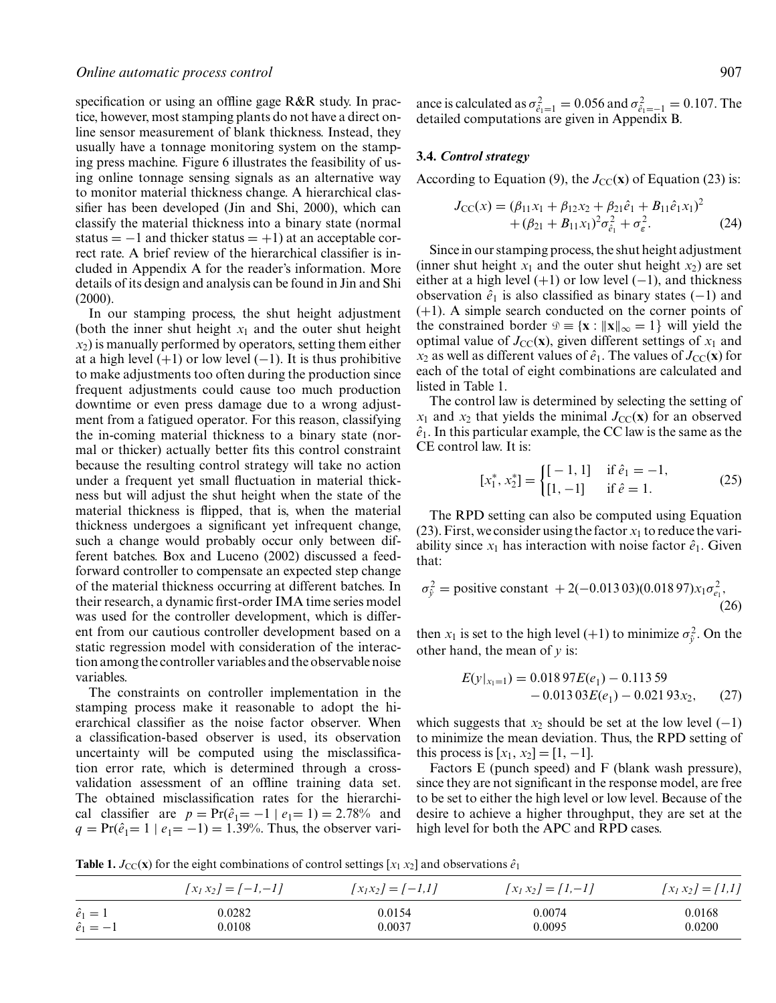specification or using an offline gage R&R study. In practice, however, most stamping plants do not have a direct online sensor measurement of blank thickness. Instead, they usually have a tonnage monitoring system on the stamping press machine. Figure 6 illustrates the feasibilityof using online tonnage sensing signals as an alternative way to monitor material thickness change. A hierarchical classifier has been developed (Jin and Shi, 2000), which can classify the material thickness into a binary state (normal status =  $-1$  and thicker status =  $+1$ ) at an acceptable correct rate. A brief review of the hierarchical classifier is included in Appendix A for the reader's information. More details of its design and analysis can be found in Jin and Shi (2000).

In our stamping process, the shut height adjustment (both the inner shut height  $x_1$  and the outer shut height  $x_2$ ) is manually performed by operators, setting them either at a high level  $(+1)$  or low level  $(-1)$ . It is thus prohibitive to make adjustments too often during the production since frequent adjustments could cause too much production downtime or even press damage due to a wrong adjustment from a fatigued operator. For this reason, classifying the in-coming material thickness to a binary state (normal or thicker) actually better fits this control constraint because the resulting control strategywill take no action under a frequent yet small fluctuation in material thickness but will adjust the shut height when the state of the material thickness is flipped, that is, when the material thickness undergoes a significant yet infrequent change, such a change would probably occur only between different batches. Box and Luceno (2002) discussed a feedforward controller to compensate an expected step change of the material thickness occurring at different batches. In their research, a dynamic first-order IMA time series model was used for the controller development, which is different from our cautious controller development based on a static regression model with consideration of the interaction among the controller variables and the observable noise variables.

The constraints on controller implementation in the stamping process make it reasonable to adopt the hierarchical classifier as the noise factor observer. When a classification-based observer is used, its observation uncertainty will be computed using the misclassification error rate, which is determined through a crossvalidation assessment of an offline training data set. The obtained misclassification rates for the hierarchical classifier are  $p = Pr(\hat{e}_1 = -1 | e_1 = 1) = 2.78%$  and  $q = Pr(\hat{e}_1 = 1 | e_1 = -1) = 1.39\%$ . Thus, the observer vari-

ance is calculated as  $\sigma_{\hat{e}_1=1}^2 = 0.056$  and  $\sigma_{\hat{e}_1=-1}^2 = 0.107$ . The detailed computations are given in Appendix B.

#### **3.4.** *Control strategy*

According to Equation (9), the  $J_{\text{CC}}(\mathbf{x})$  of Equation (23) is:

$$
J_{\text{CC}}(x) = (\beta_{11}x_1 + \beta_{12}x_2 + \beta_{21}\hat{e}_1 + B_{11}\hat{e}_1x_1)^2 + (\beta_{21} + B_{11}x_1)^2\sigma_{\hat{e}_1}^2 + \sigma_{\varepsilon}^2.
$$
 (24)

Since in our stamping process, the shut height adjustment (inner shut height  $x_1$  and the outer shut height  $x_2$ ) are set either at a high level  $(+1)$  or low level  $(-1)$ , and thickness observation  $\hat{e}_1$  is also classified as binary states (−1) and (+1). A simple search conducted on the corner points of the constrained border  $\mathcal{D} \equiv \{ \mathbf{x} : ||\mathbf{x}||_{\infty} = 1 \}$  will yield the optimal value of  $J_{\text{CC}}(\mathbf{x})$ , given different settings of  $x_1$  and  $x_2$  as well as different values of  $\hat{e}_1$ . The values of  $J_{\text{CC}}(\mathbf{x})$  for each of the total of eight combinations are calculated and listed in Table 1.

The control law is determined by selecting the setting of  $x_1$  and  $x_2$  that yields the minimal  $J_{CC}(\mathbf{x})$  for an observed  $\hat{e}_1$ . In this particular example, the CC law is the same as the CE control law. It is:

$$
[x_1^*, x_2^*] = \begin{cases} [-1, 1] & \text{if } \hat{e}_1 = -1, \\ [1, -1] & \text{if } \hat{e} = 1. \end{cases}
$$
 (25)

The RPD setting can also be computed using Equation (23). First, we consider using the factor  $x_1$  to reduce the variability since  $x_1$  has interaction with noise factor  $\hat{e}_1$ . Given that:

$$
\sigma_{\tilde{y}}^2 = \text{positive constant} + 2(-0.013\,03)(0.018\,97)x_1\sigma_{e_1}^2,
$$
\n(26)

then  $x_1$  is set to the high level (+1) to minimize  $\sigma_{\hat{y}}^2$ . On the other hand, the mean of *y* is:

$$
E(y|_{x_1=1}) = 0.01897E(e_1) - 0.11359
$$
  
- 0.01303E(e\_1) - 0.02193x\_2, (27)

which suggests that  $x_2$  should be set at the low level  $(-1)$ to minimize the mean deviation. Thus, the RPD setting of this process is  $[x_1, x_2] = [1, -1]$ .

Factors E (punch speed) and F (blank wash pressure), since they are not significant in the response model, are free to be set to either the high level or low level. Because of the desire to achieve a higher throughput, they are set at the high level for both the APC and RPD cases.

**Table 1.**  $J_{\text{CC}}(\mathbf{x})$  for the eight combinations of control settings [ $x_1 x_2$ ] and observations  $\hat{e}_1$ 

|                  | $\left[ x_1 x_2 \right] = \left[ -1, -1 \right]$ | $[x_1x_2] = [-1,1]$ | $[x_1 x_2] = [1,-1]$ | $[x_1 x_2] = [1,1]$ |
|------------------|--------------------------------------------------|---------------------|----------------------|---------------------|
| $\hat{e}_1=1$    | 0.0282                                           | 0.0154              | 0.0074               | 0.0168              |
| $\hat{e}_1 = -1$ | 0.0108                                           | 0.0037              | 0.0095               | 0.0200              |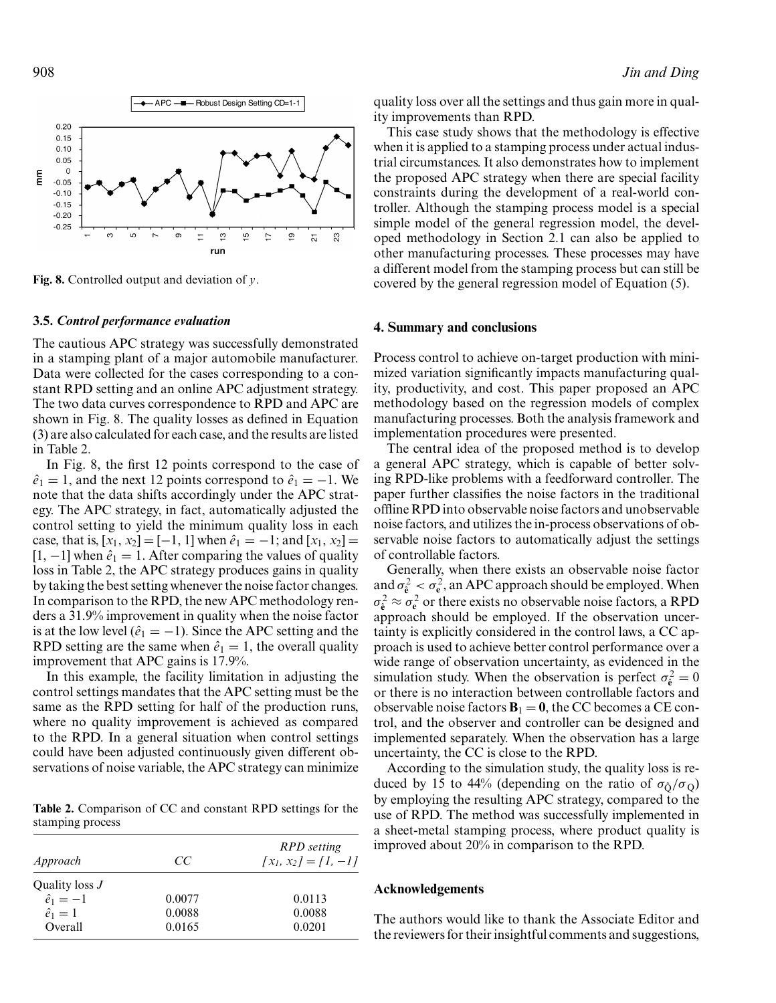

**Fig. 8.** Controlled output and deviation of *y*.

#### **3.5.** *Control performance evaluation*

The cautious APC strategy was successfully demonstrated in a stamping plant of a major automobile manufacturer. Data were collected for the cases corresponding to a constant RPD setting and an online APC adjustment strategy. The two data curves correspondence to RPD and APC are shown in Fig. 8. The quality losses as defined in Equation (3) are also calculated for each case, and the results are listed in Table 2.

In Fig. 8, the first 12 points correspond to the case of  $\hat{e}_1 = 1$ , and the next 12 points correspond to  $\hat{e}_1 = -1$ . We note that the data shifts accordingly under the APC strategy. The APC strategy, in fact, automatically adjusted the control setting to yield the minimum quality loss in each case, that is,  $[x_1, x_2] = [-1, 1]$  when  $\hat{e}_1 = -1$ ; and  $[x_1, x_2] =$  $[1, -1]$  when  $\hat{e}_1 = 1$ . After comparing the values of quality loss in Table 2, the APC strategy produces gains in quality bytaking the best setting whenever the noise factor changes. In comparison to the RPD, the new APC methodology renders a 31.9% improvement in qualitywhen the noise factor is at the low level  $(\hat{e}_1 = -1)$ . Since the APC setting and the RPD setting are the same when  $\hat{e}_1 = 1$ , the overall quality improvement that APC gains is 17.9%.

In this example, the facility limitation in adjusting the control settings mandates that the APC setting must be the same as the RPD setting for half of the production runs, where no quality improvement is achieved as compared to the RPD. In a general situation when control settings could have been adjusted continuouslygiven different observations of noise variable, the APC strategy can minimize

**Table 2.** Comparison of CC and constant RPD settings for the stamping process

| Approach         | CC     | <b>RPD</b> setting<br>$\{x_1, x_2\} = \{1, -1\}$ |
|------------------|--------|--------------------------------------------------|
| Quality loss J   |        |                                                  |
| $\hat{e}_1 = -1$ | 0.0077 | 0.0113                                           |
| $\hat{e}_1=1$    | 0.0088 | 0.0088                                           |
| Overall          | 0.0165 | 0.0201                                           |

qualityloss over all the settings and thus gain more in quality improvements than RPD.

This case study shows that the methodology is effective when it is applied to a stamping process under actual industrial circumstances. It also demonstrates how to implement the proposed APC strategywhen there are special facility constraints during the development of a real-world controller. Although the stamping process model is a special simple model of the general regression model, the developed methodologyin Section 2.1 can also be applied to other manufacturing processes. These processes mayhave a different model from the stamping process but can still be covered bythe general regression model of Equation (5).

## **4. Summary and conclusions**

Process control to achieve on-target production with minimized variation significantly impacts manufacturing quality, productivity, and cost. This paper proposed an APC methodology based on the regression models of complex manufacturing processes. Both the analysis framework and implementation procedures were presented.

The central idea of the proposed method is to develop a general APC strategy, which is capable of better solving RPD-like problems with a feedforward controller. The paper further classifies the noise factors in the traditional offline RPD into observable noise factors and unobservable noise factors, and utilizes the in-process observations of observable noise factors to automatically adjust the settings of controllable factors.

Generally, when there exists an observable noise factor and  $\sigma_{\hat{\mathbf{e}}}^2 < \sigma_{\mathbf{e}}^2$ , an APC approach should be employed. When  $\sigma_{\hat{\mathbf{e}}}^2 \approx \sigma_{\mathbf{e}}^2$  or there exists no observable noise factors, a RPD approach should be employed. If the observation uncertainty is explicitly considered in the control laws, a CC approach is used to achieve better control performance over a wide range of observation uncertainty, as evidenced in the simulation study. When the observation is perfect  $\sigma_{\hat{\mathbf{e}}}^2 = 0$ or there is no interaction between controllable factors and observable noise factors  $\mathbf{B}_1 = \mathbf{0}$ , the CC becomes a CE control, and the observer and controller can be designed and implemented separately. When the observation has a large uncertainty, the CC is close to the RPD.

According to the simulation study, the quality loss is reduced by 15 to 44% (depending on the ratio of  $\sigma_0/\sigma_0$ ) byemploying the resulting APC strategy, compared to the use of RPD. The method was successfully implemented in a sheet-metal stamping process, where product quality is improved about 20% in comparison to the RPD.

#### **Acknowledgements**

The authors would like to thank the Associate Editor and the reviewers for their insightful comments and suggestions,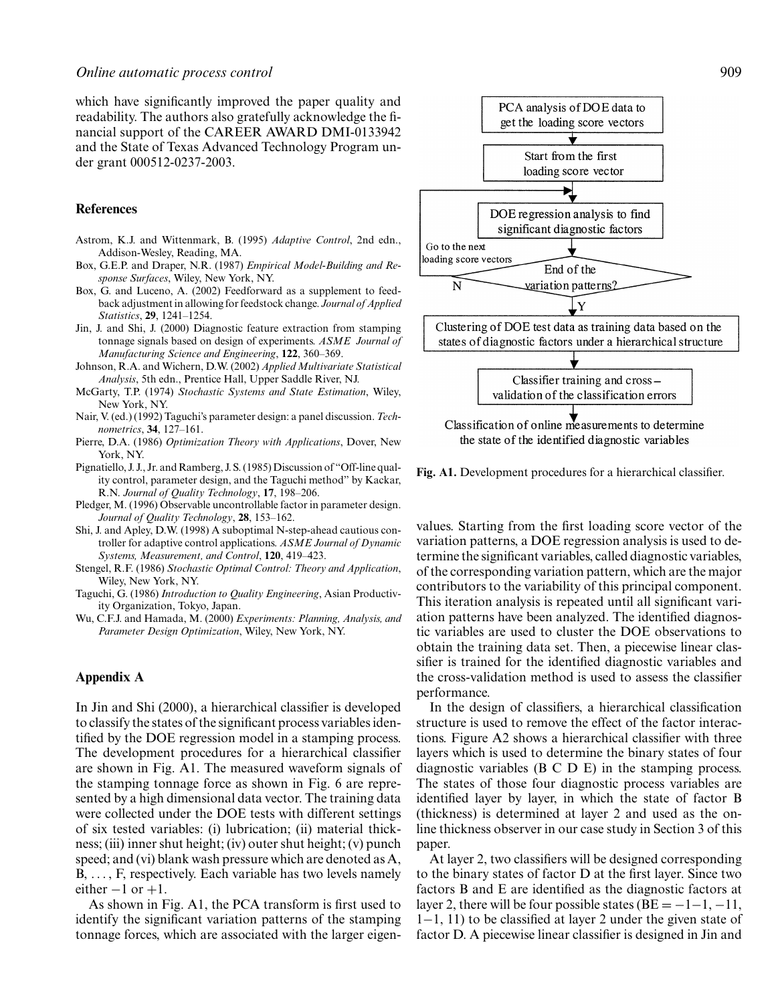which have significantly improved the paper quality and readability. The authors also gratefully acknowledge the financial support of the CAREER AWARD DMI-0133942 and the State of Texas Advanced Technology Program under grant 000512-0237-2003.

## **References**

- Astrom, K.J. and Wittenmark, B. (1995) *Adaptive Control*, 2nd edn., Addison-Wesley, Reading, MA.
- Box, G.E.P. and Draper, N.R. (1987) *Empirical Model-Building and Response Surfaces*, Wiley, New York, NY.
- Box, G. and Luceno, A. (2002) Feedforward as a supplement to feedback adjustment in allowing for feedstock change. *Journal of Applied Statistics*, **29**, 1241–1254.
- Jin, J. and Shi, J. (2000) Diagnostic feature extraction from stamping tonnage signals based on design of experiments. *ASME Journal of Manufacturing Science and Engineering*, **122**, 360–369.
- Johnson, R.A. and Wichern, D.W. (2002) *Applied Multivariate Statistical Analysis*, 5th edn., Prentice Hall, Upper Saddle River, NJ.
- McGarty, T.P. (1974) *Stochastic Systems and State Estimation*, Wiley, New York, NY.
- Nair, V. (ed.) (1992) Taguchi's parameter design: a panel discussion. *Technometrics*, **34**, 127–161.
- Pierre, D.A. (1986) *Optimization Theory with Applications*, Dover, New York, NY.
- Pignatiello, J. J., Jr. and Ramberg, J. S. (1985) Discussion of "Off-line quality control, parameter design, and the Taguchi method" by Kackar, R.N. *Journal of Quality Technology*, **17**, 198–206.
- Pledger, M. (1996) Observable uncontrollable factor in parameter design. *Journal of Quality Technology*, **28**, 153–162.
- Shi, J. and Apley, D.W. (1998) A suboptimal N-step-ahead cautious controller for adaptive control applications. *ASME Journal of Dynamic Systems, Measurement, and Control*, **120**, 419–423.
- Stengel, R.F. (1986) *Stochastic Optimal Control: Theory and Application*, Wiley, New York, NY.
- Taguchi, G. (1986) *Introduction to Quality Engineering*, Asian ProductivityOrganization, Tokyo, Japan.
- Wu, C.F.J. and Hamada, M. (2000) *Experiments: Planning, Analysis, and Parameter Design Optimization*, Wiley, New York, NY.

## **Appendix A**

In Jin and Shi (2000), a hierarchical classifier is developed to classifythe states of the significant process variables identified by the DOE regression model in a stamping process. The development procedures for a hierarchical classifier are shown in Fig. A1. The measured waveform signals of the stamping tonnage force as shown in Fig. 6 are represented bya high dimensional data vector. The training data were collected under the DOE tests with different settings of six tested variables: (i) lubrication; (ii) material thickness; (iii) inner shut height; (iv) outer shut height; (v) punch speed; and (vi) blank wash pressure which are denoted as A, B, ..., F, respectively. Each variable has two levels namely either  $-1$  or  $+1$ .

As shown in Fig. A1, the PCA transform is first used to identify the significant variation patterns of the stamping tonnage forces, which are associated with the larger eigen-



**Fig. A1.** Development procedures for a hierarchical classifier.

values. Starting from the first loading score vector of the variation patterns, a DOE regression analysis is used to determine the significant variables, called diagnostic variables, of the corresponding variation pattern, which are the major contributors to the variabilityof this principal component. This iteration analysis is repeated until all significant variation patterns have been analyzed. The identified diagnostic variables are used to cluster the DOE observations to obtain the training data set. Then, a piecewise linear classifier is trained for the identified diagnostic variables and the cross-validation method is used to assess the classifier performance.

In the design of classifiers, a hierarchical classification structure is used to remove the effect of the factor interactions. Figure A2 shows a hierarchical classifier with three layers which is used to determine the binary states of four diagnostic variables (B C D E) in the stamping process. The states of those four diagnostic process variables are identified layer by layer, in which the state of factor B (thickness) is determined at layer 2 and used as the online thickness observer in our case study in Section 3 of this paper.

At layer 2, two classifiers will be designed corresponding to the binarystates of factor D at the first layer. Since two factors B and E are identified as the diagnostic factors at layer 2, there will be four possible states ( $BE = -1-1, -11$ , 1−1, 11) to be classified at layer 2 under the given state of factor D. A piecewise linear classifier is designed in Jin and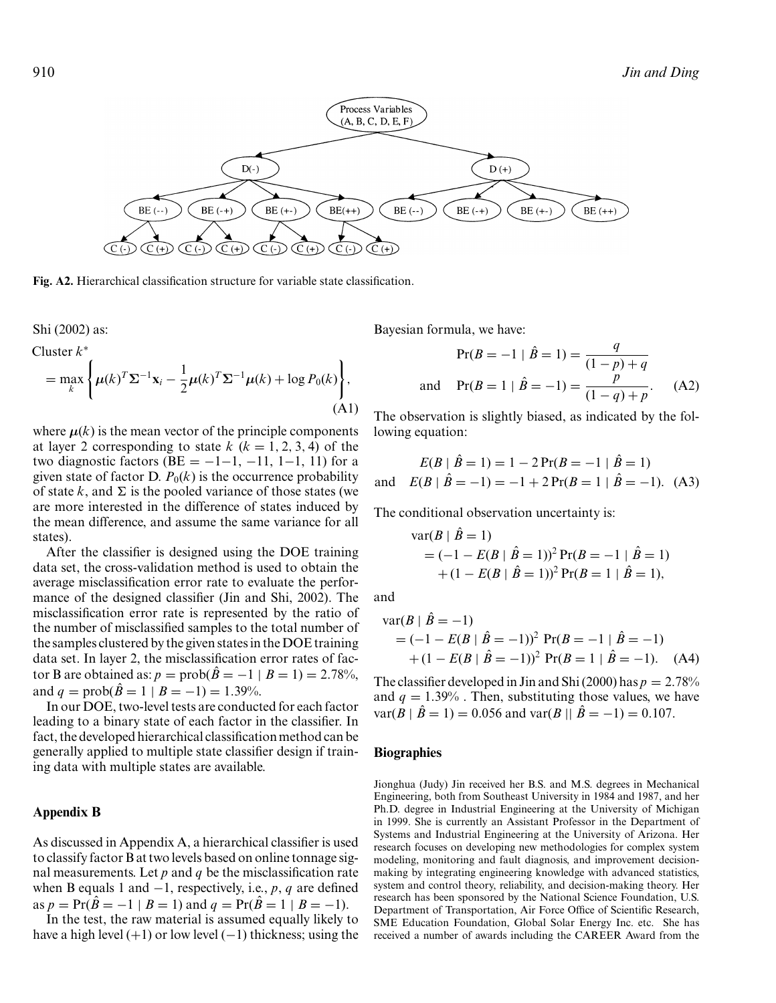

**Fig. A2.** Hierarchical classification structure for variable state classification.

Shi (2002) as:

Cluster *k*<sup>∗</sup>  $=\max_{k}$  $\sqrt{ }$  $\mu(k)^T \Sigma^{-1} \mathbf{x}_i - \frac{1}{2} \mu(k)^T \Sigma^{-1} \mu(k) + \log P_0(k)$  $\mathbf{I}$ , (A1)

where  $\mu(k)$  is the mean vector of the principle components at layer 2 corresponding to state  $k$  ( $k = 1, 2, 3, 4$ ) of the two diagnostic factors (BE =  $-1-1$ ,  $-11$ ,  $1-1$ , 11) for a given state of factor D.  $P_0(k)$  is the occurrence probability of state  $k$ , and  $\Sigma$  is the pooled variance of those states (we are more interested in the difference of states induced by the mean difference, and assume the same variance for all states).

After the classifier is designed using the DOE training data set, the cross-validation method is used to obtain the average misclassification error rate to evaluate the performance of the designed classifier (Jin and Shi, 2002). The misclassification error rate is represented by the ratio of the number of misclassified samples to the total number of the samples clustered bythe given states in the DOE training data set. In layer 2, the misclassification error rates of factor B are obtained as:  $p = prob(\hat{B} = -1 | B = 1) = 2.78\%,$ and  $q = \text{prob}(\hat{B} = 1 | B = -1) = 1.39\%$ .

In our DOE, two-level tests are conducted for each factor leading to a binary state of each factor in the classifier. In fact, the developed hierarchical classification method can be generally applied to multiple state classifier design if training data with multiple states are available.

#### **Appendix B**

As discussed in Appendix A, a hierarchical classifier is used to classifyfactor B at two levels based on online tonnage signal measurements. Let *p* and *q* be the misclassification rate when B equals 1 and −1, respectively, i.e., *p*, *q* are defined as  $p = Pr(\hat{B} = -1 | B = 1)$  and  $q = Pr(\hat{B} = 1 | B = -1)$ .

In the test, the raw material is assumed equally likely to have a high level  $(+1)$  or low level  $(-1)$  thickness; using the Bayesian formula, we have:

$$
Pr(B = -1 | \hat{B} = 1) = \frac{q}{(1 - p) + q}
$$
  
and 
$$
Pr(B = 1 | \hat{B} = -1) = \frac{p}{(1 - q) + p}.
$$
 (A2)

The observation is slightly biased, as indicated by the following equation:

$$
E(B | \hat{B} = 1) = 1 - 2 \Pr(B = -1 | \hat{B} = 1)
$$
  
and 
$$
E(B | \hat{B} = -1) = -1 + 2 \Pr(B = 1 | \hat{B} = -1). \text{ (A3)}
$$

The conditional observation uncertainty is:

$$
\begin{aligned} \text{var}(B \mid \hat{B} = 1) \\ &= (-1 - E(B \mid \hat{B} = 1))^2 \Pr(B = -1 \mid \hat{B} = 1) \\ &+ (1 - E(B \mid \hat{B} = 1))^2 \Pr(B = 1 \mid \hat{B} = 1), \end{aligned}
$$

and

$$
\begin{aligned} \text{var}(B \mid \hat{B} = -1) \\ &= (-1 - E(B \mid \hat{B} = -1))^2 \text{ Pr}(B = -1 \mid \hat{B} = -1) \\ &+ (1 - E(B \mid \hat{B} = -1))^2 \text{ Pr}(B = 1 \mid \hat{B} = -1). \end{aligned} \tag{A4}
$$

The classifier developed in Jin and Shi (2000) has  $p = 2.78\%$ and  $q = 1.39\%$ . Then, substituting those values, we have var( $B \mid \hat{B} = 1$ ) = 0.056 and var( $B \mid \hat{B} = -1$ ) = 0.107.

#### **Biographies**

Jionghua (Judy) Jin received her B.S. and M.S. degrees in Mechanical Engineering, both from Southeast Universityin 1984 and 1987, and her Ph.D. degree in Industrial Engineering at the University of Michigan in 1999. She is currently an Assistant Professor in the Department of Systems and Industrial Engineering at the University of Arizona. Her research focuses on developing new methodologies for complex system modeling, monitoring and fault diagnosis, and improvement decisionmaking by integrating engineering knowledge with advanced statistics, system and control theory, reliability, and decision-making theory. Her research has been sponsored by the National Science Foundation, U.S. Department of Transportation, Air Force Office of Scientific Research, SME Education Foundation, Global Solar Energy Inc. etc. She has received a number of awards including the CAREER Award from the